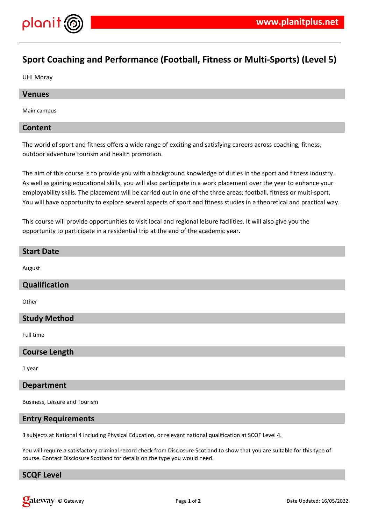

# **Sport Coaching and Performance (Football, Fitness or Multi-Sports) (Level 5)**

UHI Moray

#### **Venues**

Main campus

#### **Content**

The world of sport and fitness offers a wide range of exciting and satisfying careers across coaching, fitness, outdoor adventure tourism and health promotion.

The aim of this course is to provide you with a background knowledge of duties in the sport and fitness industry. As well as gaining educational skills, you will also participate in a work placement over the year to enhance your employability skills. The placement will be carried out in one of the three areas; football, fitness or multi-sport. You will have opportunity to explore several aspects of sport and fitness studies in a theoretical and practical way.

This course will provide opportunities to visit local and regional leisure facilities. It will also give you the opportunity to participate in a residential trip at the end of the academic year.

# **Start Date** August **Qualification Other**

#### **Study Method**

Full time

#### **Course Length**

1 year

#### **Department**

Business, Leisure and Tourism

#### **Entry Requirements**

3 subjects at National 4 including Physical Education, or relevant national qualification at SCQF Level 4.

You will require a satisfactory criminal record check from Disclosure Scotland to show that you are suitable for this type of course. Contact Disclosure Scotland for details on the type you would need.

#### **SCQF Level**